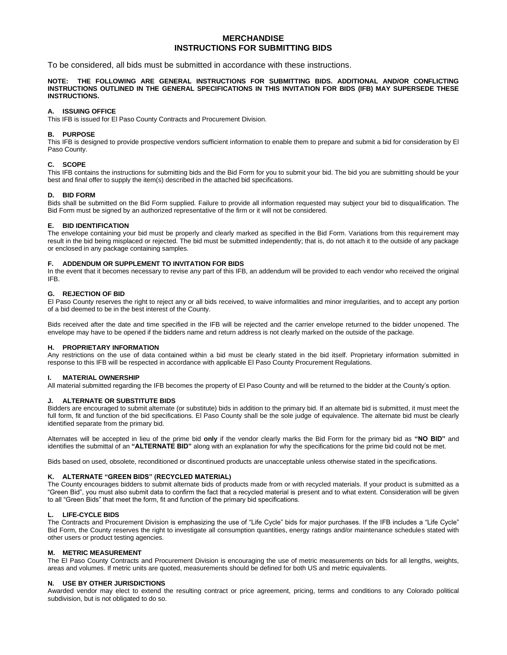# **MERCHANDISE INSTRUCTIONS FOR SUBMITTING BIDS**

To be considered, all bids must be submitted in accordance with these instructions.

**NOTE: THE FOLLOWING ARE GENERAL INSTRUCTIONS FOR SUBMITTING BIDS. ADDITIONAL AND/OR CONFLICTING INSTRUCTIONS OUTLINED IN THE GENERAL SPECIFICATIONS IN THIS INVITATION FOR BIDS (IFB) MAY SUPERSEDE THESE INSTRUCTIONS.**

# **A. ISSUING OFFICE**

This IFB is issued for El Paso County Contracts and Procurement Division.

# **B. PURPOSE**

This IFB is designed to provide prospective vendors sufficient information to enable them to prepare and submit a bid for consideration by El Paso County.

# **C. SCOPE**

This IFB contains the instructions for submitting bids and the Bid Form for you to submit your bid. The bid you are submitting should be your best and final offer to supply the item(s) described in the attached bid specifications.

### **D. BID FORM**

Bids shall be submitted on the Bid Form supplied. Failure to provide all information requested may subject your bid to disqualification. The Bid Form must be signed by an authorized representative of the firm or it will not be considered.

# **E. BID IDENTIFICATION**

The envelope containing your bid must be properly and clearly marked as specified in the Bid Form. Variations from this requirement may result in the bid being misplaced or rejected. The bid must be submitted independently; that is, do not attach it to the outside of any package or enclosed in any package containing samples.

# **F. ADDENDUM OR SUPPLEMENT TO INVITATION FOR BIDS**

In the event that it becomes necessary to revise any part of this IFB, an addendum will be provided to each vendor who received the original IFB.

### **G. REJECTION OF BID**

El Paso County reserves the right to reject any or all bids received, to waive informalities and minor irregularities, and to accept any portion of a bid deemed to be in the best interest of the County.

Bids received after the date and time specified in the IFB will be rejected and the carrier envelope returned to the bidder unopened. The envelope may have to be opened if the bidders name and return address is not clearly marked on the outside of the package.

#### **H. PROPRIETARY INFORMATION**

Any restrictions on the use of data contained within a bid must be clearly stated in the bid itself. Proprietary information submitted in response to this IFB will be respected in accordance with applicable El Paso County Procurement Regulations.

# **I. MATERIAL OWNERSHIP**

All material submitted regarding the IFB becomes the property of El Paso County and will be returned to the bidder at the County's option.

# **J. ALTERNATE OR SUBSTITUTE BIDS**

Bidders are encouraged to submit alternate (or substitute) bids in addition to the primary bid. If an alternate bid is submitted, it must meet the full form, fit and function of the bid specifications. El Paso County shall be the sole judge of equivalence. The alternate bid must be clearly identified separate from the primary bid.

Alternates will be accepted in lieu of the prime bid **only** if the vendor clearly marks the Bid Form for the primary bid as **"NO BID"** and identifies the submittal of an **"ALTERNATE BID"** along with an explanation for why the specifications for the prime bid could not be met.

Bids based on used, obsolete, reconditioned or discontinued products are unacceptable unless otherwise stated in the specifications.

# **K. ALTERNATE "GREEN BIDS" (RECYCLED MATERIAL)**

The County encourages bidders to submit alternate bids of products made from or with recycled materials. If your product is submitted as a "Green Bid", you must also submit data to confirm the fact that a recycled material is present and to what extent. Consideration will be given to all "Green Bids" that meet the form, fit and function of the primary bid specifications.

# **L. LIFE-CYCLE BIDS**

The Contracts and Procurement Division is emphasizing the use of "Life Cycle" bids for major purchases. If the IFB includes a "Life Cycle" Bid Form, the County reserves the right to investigate all consumption quantities, energy ratings and/or maintenance schedules stated with other users or product testing agencies.

#### **M. METRIC MEASUREMENT**

The El Paso County Contracts and Procurement Division is encouraging the use of metric measurements on bids for all lengths, weights, areas and volumes. If metric units are quoted, measurements should be defined for both US and metric equivalents.

# **N. USE BY OTHER JURISDICTIONS**

Awarded vendor may elect to extend the resulting contract or price agreement, pricing, terms and conditions to any Colorado political subdivision, but is not obligated to do so.